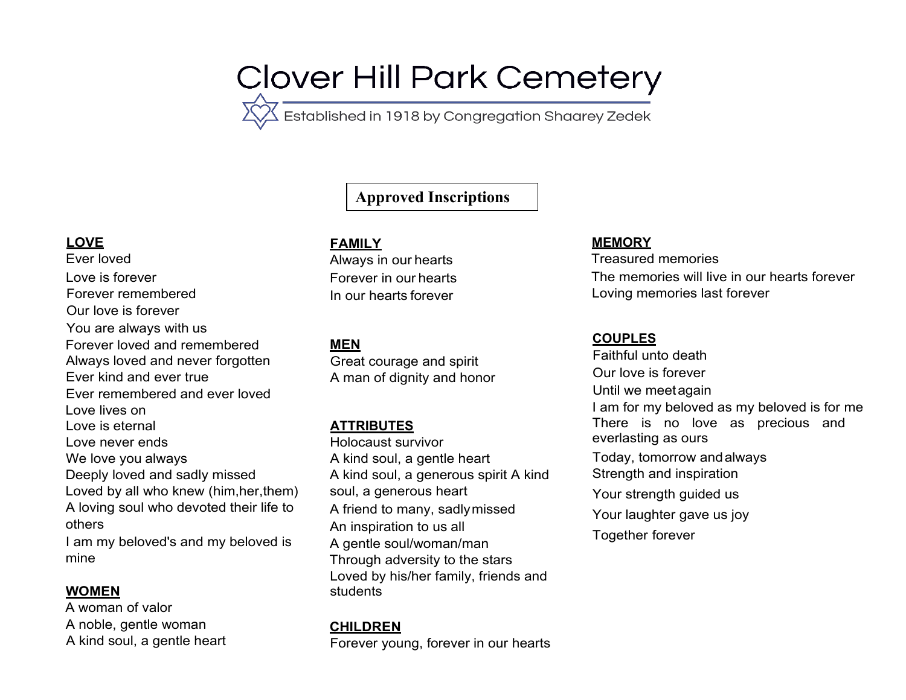# Clover Hill Park Cemetery<br>
XX Established in 1918 by Congregation Shaarey Zedek

# **Approved Inscriptions**

## **LOVE**

Ever loved Love is forever Forever remembered Our love is forever You are always with us Forever loved and remembered Always loved and never forgotten Ever kind and ever true Ever remembered and ever loved Love lives on Love is eternal Love never ends We love you always Deeply loved and sadly missed Loved by all who knew (him,her,them) A loving soul who devoted their life to others I am my beloved's and my beloved is mine

#### **WOMEN**

A woman of valor A noble, gentle woman A kind soul, a gentle heart

#### **FAMILY**

Always in our hearts Forever in our hearts In our hearts forever

## **MEN**

Great courage and spirit A man of dignity and honor

# **ATTRIBUTES**

Holocaust survivor A kind soul, a gentle heart A kind soul, a generous spirit A kind soul, a generous heart A friend to many, sadlymissed An inspiration to us all A gentle soul/woman/man Through adversity to the stars Loved by his/her family, friends and students

# **CHILDREN**

Forever young, forever in our hearts

#### **MEMORY**

Treasured memories The memories will live in our hearts forever Loving memories last forever

#### **COUPLES**

Faithful unto death Our love is forever Until we meetagain I am for my beloved as my beloved is for me There is no love as precious and everlasting as ours Today, tomorrow andalways Strength and inspiration Your strength guided us Your laughter gave us joy Together forever